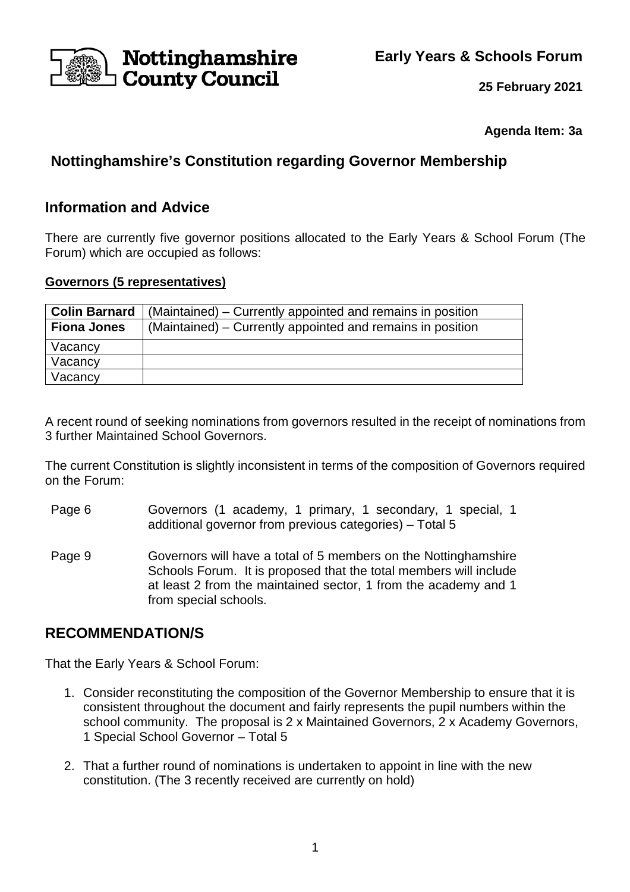**Early Years & Schools Forum**



**25 February 2021**

**Agenda Item: 3a** 

# **Nottinghamshire's Constitution regarding Governor Membership**

## **Information and Advice**

There are currently five governor positions allocated to the Early Years & School Forum (The Forum) which are occupied as follows:

### **Governors (5 representatives)**

| <b>Colin Barnard</b> | (Maintained) – Currently appointed and remains in position |
|----------------------|------------------------------------------------------------|
| <b>Fiona Jones</b>   | (Maintained) – Currently appointed and remains in position |
| Vacancy              |                                                            |
| Vacancy              |                                                            |
| Vacancy              |                                                            |

A recent round of seeking nominations from governors resulted in the receipt of nominations from 3 further Maintained School Governors.

The current Constitution is slightly inconsistent in terms of the composition of Governors required on the Forum:

- Page 6 Governors (1 academy, 1 primary, 1 secondary, 1 special, 1 additional governor from previous categories) – Total 5
- Page 9 Governors will have a total of 5 members on the Nottinghamshire Schools Forum. It is proposed that the total members will include at least 2 from the maintained sector, 1 from the academy and 1 from special schools.

## **RECOMMENDATION/S**

That the Early Years & School Forum:

- 1. Consider reconstituting the composition of the Governor Membership to ensure that it is consistent throughout the document and fairly represents the pupil numbers within the school community. The proposal is 2 x Maintained Governors, 2 x Academy Governors, 1 Special School Governor – Total 5
- 2. That a further round of nominations is undertaken to appoint in line with the new constitution. (The 3 recently received are currently on hold)